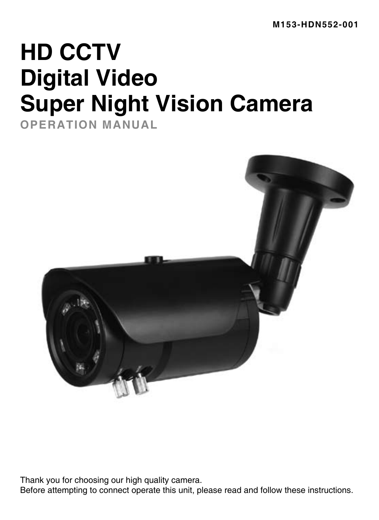# **HD CCTV Digital Video Super Night Vision Camera**

**OPERATION MANUAL**



Thank you for choosing our high quality camera.

Before attempting to connect operate this unit, please read and follow these instructions.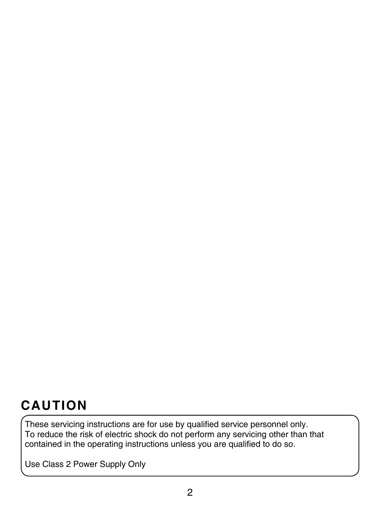## **CAUTION**

These servicing instructions are for use by qualified service personnel only. To reduce the risk of electric shock do not perform any servicing other than that contained in the operating instructions unless you are qualified to do so.

Use Class 2 Power Supply Only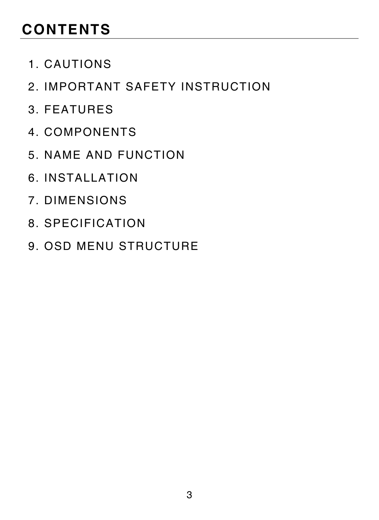# **CONTENTS**

- 1. CAUTIONS
- 2. IMPORTANT SAFETY INSTRUCTION
- 3. FEATURES
- 4. COMPONENTS
- 5. NAME AND FUNCTION
- 6. INSTALLATION
- 7. DIMENSIONS
- 8. SPECIFICATION
- 9. OSD MENU STRUCTURE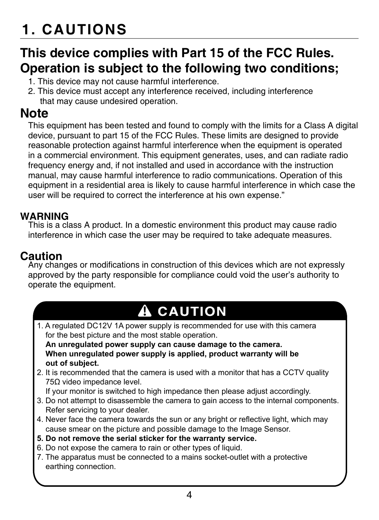# **1. CAUTIONS**

## **This device complies with Part 15 of the FCC Rules. Operation is subject to the following two conditions;**

- 1. This device may not cause harmful interference.
- 2. This device must accept any interference received, including interference that may cause undesired operation.

## **Note**

This equipment has been tested and found to comply with the limits for a Class A digital device, pursuant to part 15 of the FCC Rules. These limits are designed to provide reasonable protection against harmful interference when the equipment is operated in a commercial environment. This equipment generates, uses, and can radiate radio frequency energy and, if not installed and used in accordance with the instruction manual, may cause harmful interference to radio communications. Operation of this equipment in a residential area is likely to cause harmful interference in which case the user will be required to correct the interference at his own expense."

#### **WARNING**

This is a class A product. In a domestic environment this product may cause radio interference in which case the user may be required to take adequate measures.

## **Caution**

Any changes or modifications in construction of this devices which are not expressly approved by the party responsible for compliance could void the user's authority to operate the equipment.

## **A CAUTION**

1. A regulated DC12V 1A power supply is recommended for use with this camera for the best picture and the most stable operation.

 **An unregulated power supply can cause damage to the camera. When unregulated power supply is applied, product warranty will be out of subject.**

2. It is recommended that the camera is used with a monitor that has a CCTV quality 75Ω video impedance level.

If your monitor is switched to high impedance then please adjust accordingly.

- 3. Do not attempt to disassemble the camera to gain access to the internal components. Refer servicing to your dealer.
- 4. Never face the camera towards the sun or any bright or reflective light, which may cause smear on the picture and possible damage to the Image Sensor.
- **5. Do not remove the serial sticker for the warranty service.**
- 6. Do not expose the camera to rain or other types of liquid.
- 7. The apparatus must be connected to a mains socket-outlet with a protective earthing connection.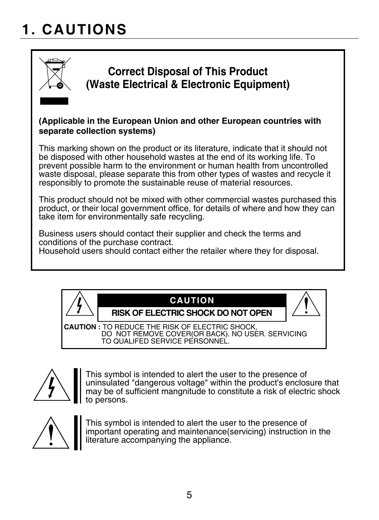# **1. CAUTIONS**



## **Correct Disposal of This Product (Waste Electrical & Electronic Equipment)**

#### **(Applicable in the European Union and other European countries with separate collection systems)**

This marking shown on the product or its literature, indicate that it should not be disposed with other household wastes at the end of its working life. To prevent possible harm to the environment or human health from uncontrolled waste disposal, please separate this from other types of wastes and recycle it responsibly to promote the sustainable reuse of material resources.

This product should not be mixed with other commercial wastes purchased this product, or their local government office, for details of where and how they can take item for environmentally safe recycling.

Business users should contact their supplier and check the terms and conditions of the purchase contract. Household users should contact either the retailer where they for disposal.



### **CAUTION**

**RISK OF ELECTRIC SHOCK DO NOT OPEN**

**CAUTION :** TO REDUCE THE RISK OF ELECTRIC SHOCK, DO NOT REMOVE COVER(OR BACK). NO USER. SERVICING TO QUALIFED SERVICE PERSONNEL.



This symbol is intended to alert the user to the presence of uninsulated "dangerous voltage" within the product's enclosure that may be of sufficient mangnitude to constitute a risk of electric shock to persons.

This symbol is intended to alert the user to the presence of important operating and maintenance(servicing) instruction in the literature accompanying the appliance.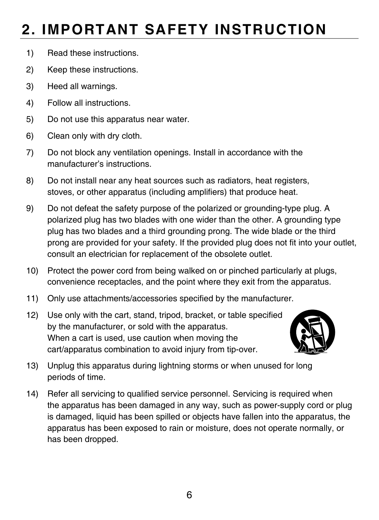# **2. IMPORTANT SAFETY INSTRUCTION**

- 1) Read these instructions.
- 2) Keep these instructions.
- 3) Heed all warnings.
- 4) Follow all instructions.
- 5) Do not use this apparatus near water.
- 6) Clean only with dry cloth.
- 7) Do not block any ventilation openings. Install in accordance with the manufacturer's instructions.
- 8) Do not install near any heat sources such as radiators, heat registers, stoves, or other apparatus (including amplifiers) that produce heat.
- 9) Do not defeat the safety purpose of the polarized or grounding-type plug. A polarized plug has two blades with one wider than the other. A grounding type plug has two blades and a third grounding prong. The wide blade or the third prong are provided for your safety. If the provided plug does not fit into your outlet, consult an electrician for replacement of the obsolete outlet.
- 10) Protect the power cord from being walked on or pinched particularly at plugs, convenience receptacles, and the point where they exit from the apparatus.
- 11) Only use attachments/accessories specified by the manufacturer.
- 12) Use only with the cart, stand, tripod, bracket, or table specified by the manufacturer, or sold with the apparatus. When a cart is used, use caution when moving the cart/apparatus combination to avoid injury from tip-over.



- 13) Unplug this apparatus during lightning storms or when unused for long periods of time.
- 14) Refer all servicing to qualified service personnel. Servicing is required when the apparatus has been damaged in any way, such as power-supply cord or plug is damaged, liquid has been spilled or objects have fallen into the apparatus, the apparatus has been exposed to rain or moisture, does not operate normally, or has been dropped.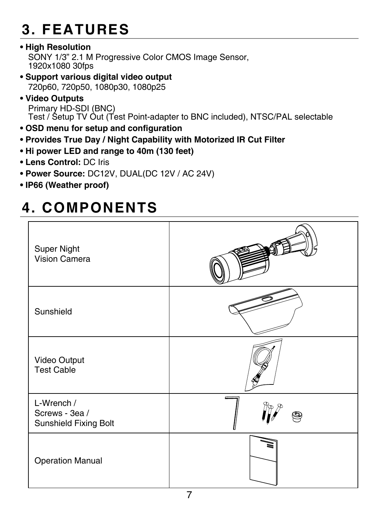# **3. FEATURES**

**• High Resolution**

SONY 1/3" 2.1 M Progressive Color CMOS Image Sensor, 1920x1080 30fps

- **Support various digital video output** 720p60, 720p50, 1080p30, 1080p25
- **Video Outputs** Primary HD-SDI (BNC) Test / Setup TV Out (Test Point-adapter to BNC included), NTSC/PAL selectable
- **OSD menu for setup and configuration**
- **Provides True Day / Night Capability with Motorized IR Cut Filter**
- **Hi power LED and range to 40m (130 feet)**
- **Lens Control:** DC Iris
- **Power Source:** DC12V, DUAL(DC 12V / AC 24V)
- **IP66 (Weather proof)**

## **4. COMPONENTS**

| Super Night<br>Vision Camera                          |   |
|-------------------------------------------------------|---|
| Sunshield                                             |   |
| Video Output<br><b>Test Cable</b>                     |   |
| L-Wrench /<br>Screws - 3ea /<br>Sunshield Fixing Bolt | ⋐ |
| <b>Operation Manual</b>                               |   |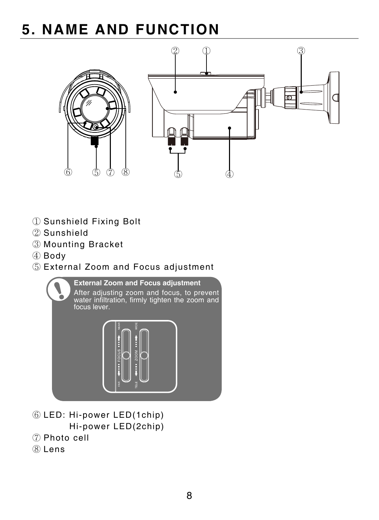## **5. NAME AND FUNCTION**



- Sunshield Fixing Bolt
- Sunshield
- Mounting Bracket
- Body
- External Zoom and Focus adjustment



- LED: Hi-power LED(1chip) Hi-power LED(2chip)
- Photo cell
- Lens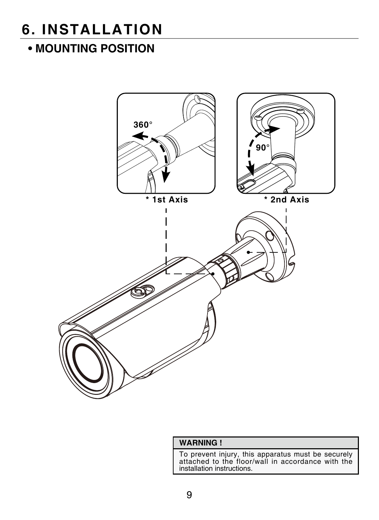## **6. INSTALLATION**

## **• MOUNTING POSITION**



#### **WARNING !**

To prevent injury, this apparatus must be securely attached to the floor/wall in accordance with the installation instructions.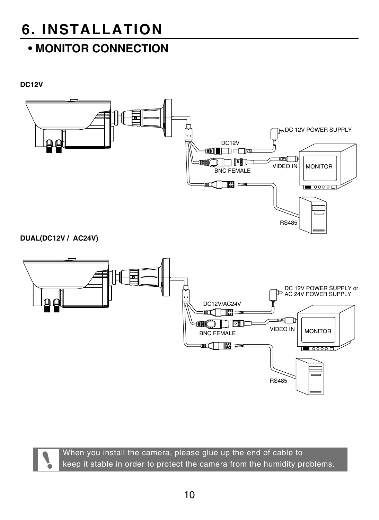## **6. INSTALLATION**

## **• MONITOR CONNECTION**

**DC12V**



**DUAL(DC12V / AC24V)**



When you install the camera, please glue up the end of cable to keep it stable in order to protect the camera from the humidity problems.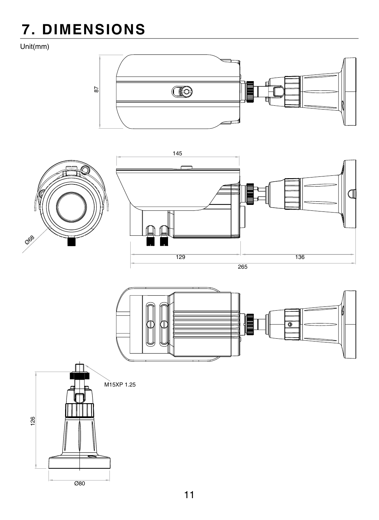# **7. DIMENSIONS**

Unit(mm)









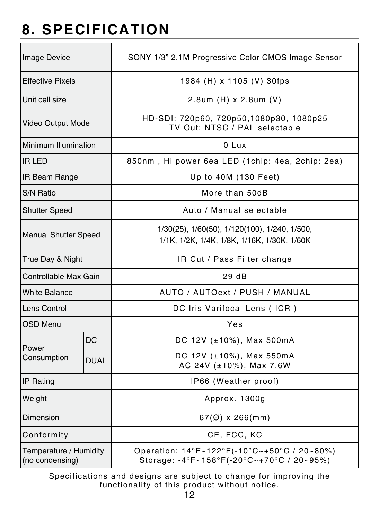# **8. SPECIFICATION**

| <b>Image Device</b>                       |             | SONY 1/3" 2.1M Progressive Color CMOS Image Sensor                                           |  |  |
|-------------------------------------------|-------------|----------------------------------------------------------------------------------------------|--|--|
| <b>Effective Pixels</b>                   |             | 1984 (H) x 1105 (V) 30fps                                                                    |  |  |
| Unit cell size                            |             | 2.8um (H) x 2.8um (V)                                                                        |  |  |
| Video Output Mode                         |             | HD-SDI: 720p60, 720p50,1080p30, 1080p25<br>TV Out: NTSC / PAL selectable                     |  |  |
| Minimum Illumination                      |             | 0 Lux                                                                                        |  |  |
| <b>IR LED</b>                             |             | 850nm, Hi power 6ea LED (1chip: 4ea, 2chip: 2ea)                                             |  |  |
| <b>IR Beam Range</b>                      |             | Up to 40M (130 Feet)                                                                         |  |  |
| S/N Ratio                                 |             | More than 50dB                                                                               |  |  |
| <b>Shutter Speed</b>                      |             | Auto / Manual selectable                                                                     |  |  |
| <b>Manual Shutter Speed</b>               |             | 1/30(25), 1/60(50), 1/120(100), 1/240, 1/500,<br>1/1K, 1/2K, 1/4K, 1/8K, 1/16K, 1/30K, 1/60K |  |  |
| True Day & Night                          |             | IR Cut / Pass Filter change                                                                  |  |  |
| Controllable Max Gain                     |             | 29 dB                                                                                        |  |  |
| White Balance                             |             | AUTO / AUTOext / PUSH / MANUAL                                                               |  |  |
| Lens Control                              |             | DC Iris Varifocal Lens (ICR)                                                                 |  |  |
| OSD Menu                                  |             | Yes                                                                                          |  |  |
|                                           | DC          | DC 12V (±10%), Max 500mA                                                                     |  |  |
| Power<br>Consumption                      | <b>DUAL</b> | DC 12V (±10%), Max 550mA<br>AC 24V (±10%), Max 7.6W                                          |  |  |
| IP Rating                                 |             | IP66 (Weather proof)                                                                         |  |  |
| Weight                                    |             | Approx. 1300g                                                                                |  |  |
| Dimension                                 |             | $67(Ø)$ x 266(mm)                                                                            |  |  |
| Conformity                                |             | CE. FCC. KC                                                                                  |  |  |
| Temperature / Humidity<br>(no condensing) |             | Operation: 14°F~122°F(-10°C~+50°C / 20~80%)<br>Storage: -4°F~158°F(-20°C~+70°C / 20~95%)     |  |  |

Specifications and designs are subject to change for improving the functionality of this product without notice.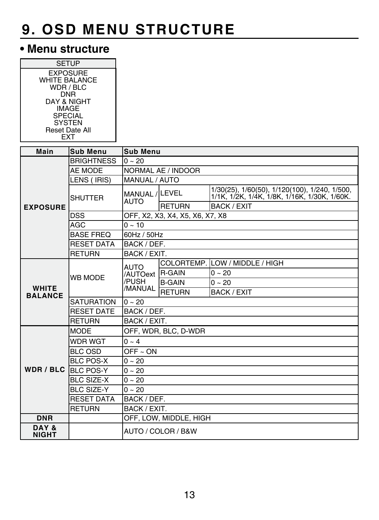## **• Menu structure**

| <b>SETUP</b><br><b>EXPOSURE</b> | <b>WHITE BALANCE</b><br>WDR / BLC<br><b>DNR</b><br>DAY & NIGHT |                        |                                 |                                                                                               |  |  |
|---------------------------------|----------------------------------------------------------------|------------------------|---------------------------------|-----------------------------------------------------------------------------------------------|--|--|
| <b>SPECIAL</b>                  | <b>IMAGE</b>                                                   |                        |                                 |                                                                                               |  |  |
|                                 | <b>SYSTEN</b>                                                  |                        |                                 |                                                                                               |  |  |
| Reset Date All                  |                                                                |                        |                                 |                                                                                               |  |  |
| <b>EXT</b>                      |                                                                |                        |                                 |                                                                                               |  |  |
| Main                            | <b>Sub Menu</b>                                                | <b>Sub Menu</b>        |                                 |                                                                                               |  |  |
|                                 | <b>BRIGHTNESS</b>                                              | $0 - 20$               |                                 |                                                                                               |  |  |
|                                 | AE MODE                                                        | NORMAL AE / INDOOR     |                                 |                                                                                               |  |  |
|                                 | LENS (IRIS)                                                    | MANUAL / AUTO          |                                 |                                                                                               |  |  |
|                                 | <b>SHUTTER</b>                                                 | MANUAL / LEVEL<br>AUTO |                                 | 1/30(25), 1/60(50), 1/120(100), 1/240, 1/500,<br>1/1K, 1/2K, 1/4K, 1/8K, 1/16K, 1/30K, 1/60K, |  |  |
| <b>EXPOSURE</b>                 |                                                                |                        | <b>RETURN</b>                   | <b>BACK / EXIT</b>                                                                            |  |  |
|                                 | <b>DSS</b>                                                     |                        | OFF, X2, X3, X4, X5, X6, X7, X8 |                                                                                               |  |  |
|                                 | <b>AGC</b>                                                     | $0 - 10$               |                                 |                                                                                               |  |  |
|                                 | <b>BASE FREQ</b>                                               | 60Hz / 50Hz            |                                 |                                                                                               |  |  |
|                                 | <b>RESET DATA</b>                                              | BACK / DEF.            |                                 |                                                                                               |  |  |
|                                 | <b>RETURN</b>                                                  | BACK / EXIT.           |                                 |                                                                                               |  |  |
|                                 | WB MODE                                                        | AUTO                   |                                 | COLORTEMP. LOW / MIDDLE / HIGH                                                                |  |  |
|                                 |                                                                | /AUTOext               | <b>R-GAIN</b>                   | $0 - 20$                                                                                      |  |  |
| <b>WHITE</b>                    |                                                                | /PUSH<br>/MANUAL       | <b>B-GAIN</b>                   | $0 - 20$                                                                                      |  |  |
| <b>BALANCE</b>                  |                                                                |                        | <b>RETURN</b>                   | <b>BACK / EXIT</b>                                                                            |  |  |
|                                 | <b>SATURATION</b>                                              | $0 - 20$               |                                 |                                                                                               |  |  |
|                                 | <b>RESET DATE</b>                                              | BACK / DEF.            |                                 |                                                                                               |  |  |
|                                 | <b>RETURN</b>                                                  | BACK / EXIT.           |                                 |                                                                                               |  |  |
|                                 | <b>MODE</b>                                                    |                        | OFF, WDR, BLC, D-WDR            |                                                                                               |  |  |
|                                 | <b>WDR WGT</b>                                                 | $0 - 4$                |                                 |                                                                                               |  |  |
|                                 | BLC OSD                                                        | $OFF - ON$             |                                 |                                                                                               |  |  |
| <b>BLC POS-X</b>                |                                                                | $0 - 20$               |                                 |                                                                                               |  |  |
| WDR/BLC                         | <b>BLC POS-Y</b>                                               | $0 - 20$               |                                 |                                                                                               |  |  |
| <b>BLC SIZE-X</b>               |                                                                | $0 - 20$               |                                 |                                                                                               |  |  |
|                                 | <b>BLC SIZE-Y</b>                                              | $0 - 20$               |                                 |                                                                                               |  |  |
|                                 | <b>RESET DATA</b>                                              | BACK / DEF.            |                                 |                                                                                               |  |  |
|                                 | <b>RETURN</b>                                                  | BACK / EXIT.           |                                 |                                                                                               |  |  |
| <b>DNR</b>                      |                                                                | OFF, LOW, MIDDLE, HIGH |                                 |                                                                                               |  |  |
| DAY &<br><b>NIGHT</b>           |                                                                | AUTO / COLOR / B&W     |                                 |                                                                                               |  |  |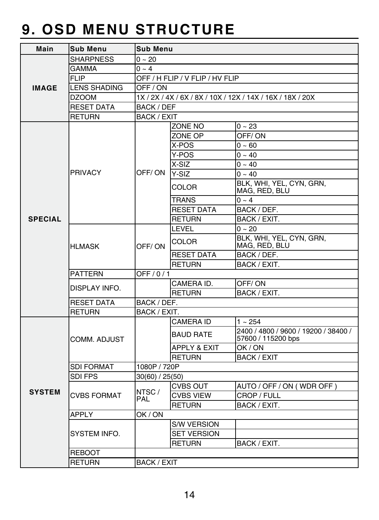| Main           | Sub Menu            |                                                            | Sub Menu           |                                                            |  |  |  |
|----------------|---------------------|------------------------------------------------------------|--------------------|------------------------------------------------------------|--|--|--|
|                | <b>SHARPNESS</b>    | $0 - 20$                                                   |                    |                                                            |  |  |  |
|                | <b>GAMMA</b>        | $0 - 4$                                                    |                    |                                                            |  |  |  |
|                | <b>FLIP</b>         | OFF / H FLIP / V FLIP / HV FLIP                            |                    |                                                            |  |  |  |
| <b>IMAGE</b>   | <b>LENS SHADING</b> | OFF / ON                                                   |                    |                                                            |  |  |  |
|                | <b>DZOOM</b>        | 1X / 2X / 4X / 6X / 8X / 10X / 12X / 14X / 16X / 18X / 20X |                    |                                                            |  |  |  |
|                | <b>RESET DATA</b>   | BACK / DEF                                                 |                    |                                                            |  |  |  |
|                | <b>RETURN</b>       |                                                            | <b>BACK / EXIT</b> |                                                            |  |  |  |
|                |                     |                                                            | ZONE NO            | $0 - 23$                                                   |  |  |  |
|                |                     |                                                            | ZONE OP            | OFF/ON                                                     |  |  |  |
|                |                     |                                                            | X-POS              | $0 - 60$                                                   |  |  |  |
|                |                     |                                                            | Y-POS              | $0 - 40$                                                   |  |  |  |
|                |                     |                                                            | X-SIZ              | $0 - 40$                                                   |  |  |  |
|                | PRIVACY             | OFF/ON                                                     | Y-SIZ              | $0 - 40$                                                   |  |  |  |
|                |                     |                                                            | COLOR              | BLK, WHI, YEL, CYN, GRN,<br>MAG, RED, BLU                  |  |  |  |
|                |                     |                                                            | <b>TRANS</b>       | $0 - 4$                                                    |  |  |  |
|                |                     |                                                            | <b>RESET DATA</b>  | BACK / DEF.                                                |  |  |  |
| <b>SPECIAL</b> |                     |                                                            | <b>RETURN</b>      | BACK / EXIT.                                               |  |  |  |
|                |                     |                                                            | LEVEL              | $0 - 20$                                                   |  |  |  |
|                | <b>HLMASK</b>       | OFF/ON                                                     | COLOR              | BLK, WHI, YEL, CYN, GRN,<br>MAG, RED, BLU                  |  |  |  |
|                |                     |                                                            | <b>RESET DATA</b>  | BACK / DEF.                                                |  |  |  |
|                |                     |                                                            | <b>RETURN</b>      | BACK / EXIT.                                               |  |  |  |
|                | <b>PATTERN</b>      | OFF/0/1                                                    |                    |                                                            |  |  |  |
|                | DISPLAY INFO.       |                                                            | CAMERA ID.         | OFF/ON                                                     |  |  |  |
|                |                     |                                                            | <b>RETURN</b>      | BACK / EXIT.                                               |  |  |  |
|                | <b>RESET DATA</b>   | BACK / DEF.                                                |                    |                                                            |  |  |  |
|                | <b>RETURN</b>       | BACK / EXIT.                                               |                    |                                                            |  |  |  |
|                |                     |                                                            | CAMERA ID          | $1 - 254$                                                  |  |  |  |
|                | COMM. ADJUST        |                                                            | <b>BAUD RATE</b>   | 2400 / 4800 / 9600 / 19200 / 38400 /<br>57600 / 115200 bps |  |  |  |
|                |                     |                                                            | APPLY & EXIT       | OK/ON                                                      |  |  |  |
|                |                     |                                                            | <b>RETURN</b>      | <b>BACK / EXIT</b>                                         |  |  |  |
|                | <b>SDI FORMAT</b>   | 1080P / 720P                                               |                    |                                                            |  |  |  |
|                | SDI FPS             | 30(60) / 25(50)                                            |                    |                                                            |  |  |  |
|                |                     | NTSC/<br>PAL                                               | <b>CVBS OUT</b>    | AUTO / OFF / ON (WDR OFF)                                  |  |  |  |
| <b>SYSTEM</b>  | <b>CVBS FORMAT</b>  |                                                            | <b>CVBS VIEW</b>   | CROP / FULL                                                |  |  |  |
|                |                     |                                                            | <b>RETURN</b>      | BACK / EXIT.                                               |  |  |  |
|                | <b>APPLY</b>        | OK/ON                                                      |                    |                                                            |  |  |  |
|                |                     |                                                            | <b>S/W VERSION</b> |                                                            |  |  |  |
|                | SYSTEM INFO.        |                                                            | <b>SET VERSION</b> |                                                            |  |  |  |
|                |                     |                                                            | <b>RETURN</b>      | BACK / EXIT.                                               |  |  |  |
|                | <b>REBOOT</b>       |                                                            |                    |                                                            |  |  |  |
|                | <b>RETURN</b>       | <b>BACK / EXIT</b>                                         |                    |                                                            |  |  |  |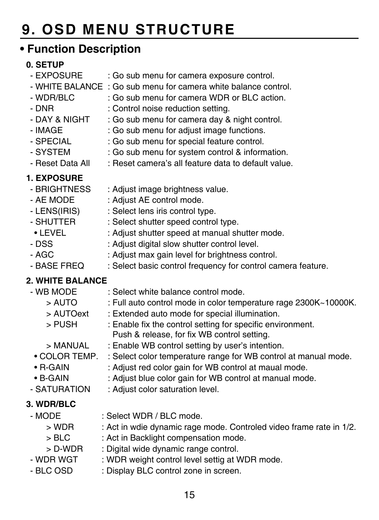## **• Function Description**

# **0. SETUP**

- : Go sub menu for camera exposure control.
- WHITE BALANCE : Go sub menu for camera white balance control.
	- WDR/BLC : Go sub menu for camera WDR or BLC action.
- DNR : Control noise reduction setting.
- DAY & NIGHT : Go sub menu for camera day & night control.<br>- IMAGE  $\cdot$  Go sub menu for adjust image functions
- IMAGE : Go sub menu for adjust image functions.<br>- SPECIAI : Go sub menu for special feature control
- : Go sub menu for special feature control.
- SYSTEM : Go sub menu for system control & information.
- Reset Data All : Reset camera's all feature data to default value.

# **1. EXPOSURE**

- : Adjust image brightness value.
- AE MODE : Adjust AE control mode.
- LENS(IRIS) : Select lens iris control type.<br>- SHUTTER : Select shutter speed control
- SHUTTER : Select shutter speed control type.<br>• LEVEL : Adjust shutter speed at manual sh
- : Adjust shutter speed at manual shutter mode.
- DSS : Adjust digital slow shutter control level.
- AGC : Adjust max gain level for brightness control.<br>- BASE FREO : Select basic control frequency for control ca
- : Select basic control frequency for control camera feature.

### **2. WHITE BALANCE**

- WB MODE : Select white balance control mode. > AUTO : Full auto control mode in color temperature rage 2300K~10000K.
	- > AUTOext : Extended auto mode for special illumination.<br>> PUSH : Enable fix the control setting for specific envi
	- : Enable fix the control setting for specific environment.
		- Push & release, for fix WB control setting.
	- > MANUAL : Enable WB control setting by user's intention.
	- COLOR TEMP. : Select color temperature range for WB control at manual mode.
	- R-GAIN : Adjust red color gain for WB control at maual mode.
	- B-GAIN : Adjust blue color gain for WB control at manual mode.
- SATURATION : Adiust color saturation level.

### **3. WDR/BLC**

- MODE : Select WDR / BLC mode.<br>S WDR : Act in whie dynamic rage
	- : Act in wdie dynamic rage mode. Controled video frame rate in 1/2.
	- > BLC : Act in Backlight compensation mode.
- > D-WDR : Digital wide dynamic range control.<br>WDR WGT : WDR weight control level settig at \
	- : WDR weight control level settig at WDR mode.
- BLC OSD : Display BLC control zone in screen.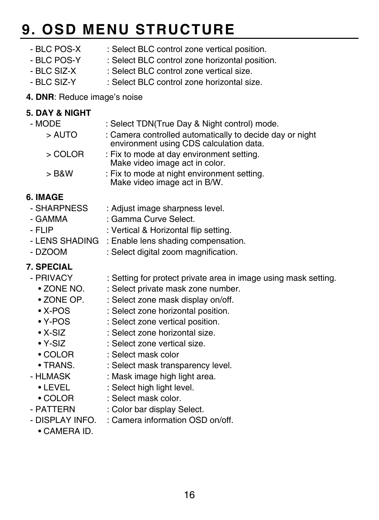- BLC POS-X : Select BLC control zone vertical position.<br>- BLC POS-Y : Select BLC control zone horizontal position
	- : Select BLC control zone horizontal position.
- BLC SIZ-X : Select BLC control zone vertical size.
- BLC SIZ-Y : Select BLC control zone horizontal size.
- **4. DNR**: Reduce image's noise

#### **5. DAY & NIGHT**

| - MODE  | : Select TDN(True Day & Night control) mode.                                                        |
|---------|-----------------------------------------------------------------------------------------------------|
| > AUTO  | : Camera controlled automatically to decide day or night<br>environment using CDS calculation data. |
| > COLOR | : Fix to mode at day environment setting.<br>Make video image act in color.                         |
| $>$ B&W | : Fix to mode at night environment setting.                                                         |

Make video image act in B/W.

- **6. IMAGE** : Adjust image sharpness level.
	- GAMMA : Gamma Curve Select.
	- FLIP : Vertical & Horizontal flip setting.
	- LENS SHADING : Enable lens shading compensation.<br>- DZOOM · Select digital zoom magnification
	- : Select digital zoom magnification.

### **7. SPECIAL**

- PRIVACY : Setting for protect private area in image using mask setting.
	- ZONE NO. : Select private mask zone number.<br>• ZONE OP : Select zone mask display on/off
	- ZONE OP. : Select zone mask display on/off.<br>• X-POS : Select zone horizontal position
	- : Select zone horizontal position.
	- Y-POS : Select zone vertical position.
	- X-SIZ : Select zone horizontal size.<br>• Y-SIZ : Select zone vertical size.
	- Y-SIZ : Select zone vertical size.
	- COLOR : Select mask color
	- TRANS. : Select mask transparency level.
- HLMASK : Mask image high light area.<br>• LEVEL : Select high light level.
- : Select high light level.
- COLOR : Select mask color.
- PATTERN : Color bar display Select.
- DISPLAY INFO. : Camera information OSD on/off.
	- CAMERA ID.